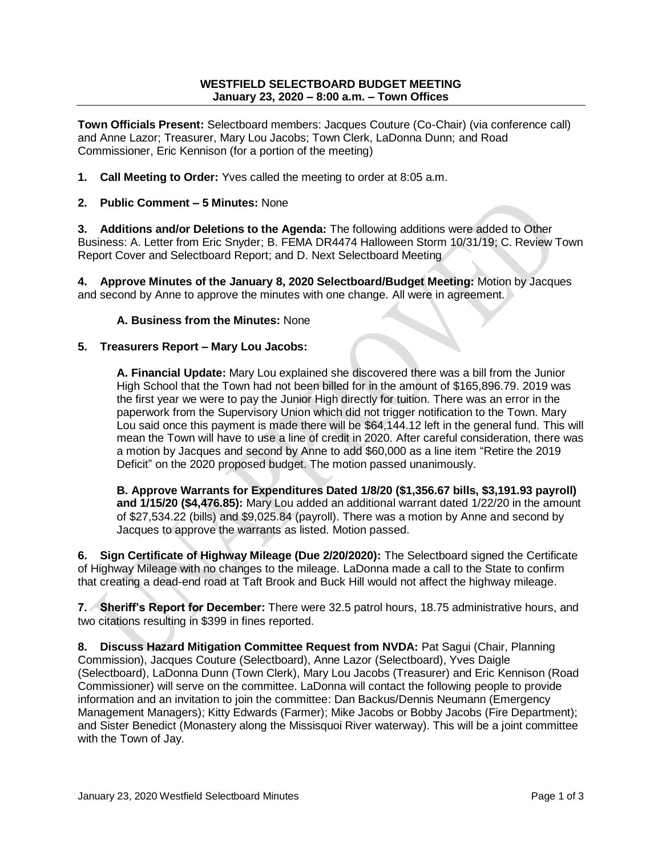## **WESTFIELD SELECTBOARD BUDGET MEETING January 23, 2020 – 8:00 a.m. – Town Offices**

**Town Officials Present:** Selectboard members: Jacques Couture (Co-Chair) (via conference call) and Anne Lazor; Treasurer, Mary Lou Jacobs; Town Clerk, LaDonna Dunn; and Road Commissioner, Eric Kennison (for a portion of the meeting)

- **1. Call Meeting to Order:** Yves called the meeting to order at 8:05 a.m.
- **2. Public Comment – 5 Minutes:** None

**3. Additions and/or Deletions to the Agenda:** The following additions were added to Other Business: A. Letter from Eric Snyder; B. FEMA DR4474 Halloween Storm 10/31/19; C. Review Town Report Cover and Selectboard Report; and D. Next Selectboard Meeting

**4. Approve Minutes of the January 8, 2020 Selectboard/Budget Meeting:** Motion by Jacques and second by Anne to approve the minutes with one change. All were in agreement.

**A. Business from the Minutes:** None

## **5. Treasurers Report – Mary Lou Jacobs:**

**A. Financial Update:** Mary Lou explained she discovered there was a bill from the Junior High School that the Town had not been billed for in the amount of \$165,896.79. 2019 was the first year we were to pay the Junior High directly for tuition. There was an error in the paperwork from the Supervisory Union which did not trigger notification to the Town. Mary Lou said once this payment is made there will be \$64,144.12 left in the general fund. This will mean the Town will have to use a line of credit in 2020. After careful consideration, there was a motion by Jacques and second by Anne to add \$60,000 as a line item "Retire the 2019 Deficit" on the 2020 proposed budget. The motion passed unanimously.

**B. Approve Warrants for Expenditures Dated 1/8/20 (\$1,356.67 bills, \$3,191.93 payroll) and 1/15/20 (\$4,476.85):** Mary Lou added an additional warrant dated 1/22/20 in the amount of \$27,534.22 (bills) and \$9,025.84 (payroll). There was a motion by Anne and second by Jacques to approve the warrants as listed. Motion passed.

**6. Sign Certificate of Highway Mileage (Due 2/20/2020):** The Selectboard signed the Certificate of Highway Mileage with no changes to the mileage. LaDonna made a call to the State to confirm that creating a dead-end road at Taft Brook and Buck Hill would not affect the highway mileage.

**7. Sheriff's Report for December:** There were 32.5 patrol hours, 18.75 administrative hours, and two citations resulting in \$399 in fines reported.

**8. Discuss Hazard Mitigation Committee Request from NVDA: Pat Sagui (Chair, Planning)** Commission), Jacques Couture (Selectboard), Anne Lazor (Selectboard), Yves Daigle (Selectboard), LaDonna Dunn (Town Clerk), Mary Lou Jacobs (Treasurer) and Eric Kennison (Road Commissioner) will serve on the committee. LaDonna will contact the following people to provide information and an invitation to join the committee: Dan Backus/Dennis Neumann (Emergency Management Managers); Kitty Edwards (Farmer); Mike Jacobs or Bobby Jacobs (Fire Department); and Sister Benedict (Monastery along the Missisquoi River waterway). This will be a joint committee with the Town of Jay.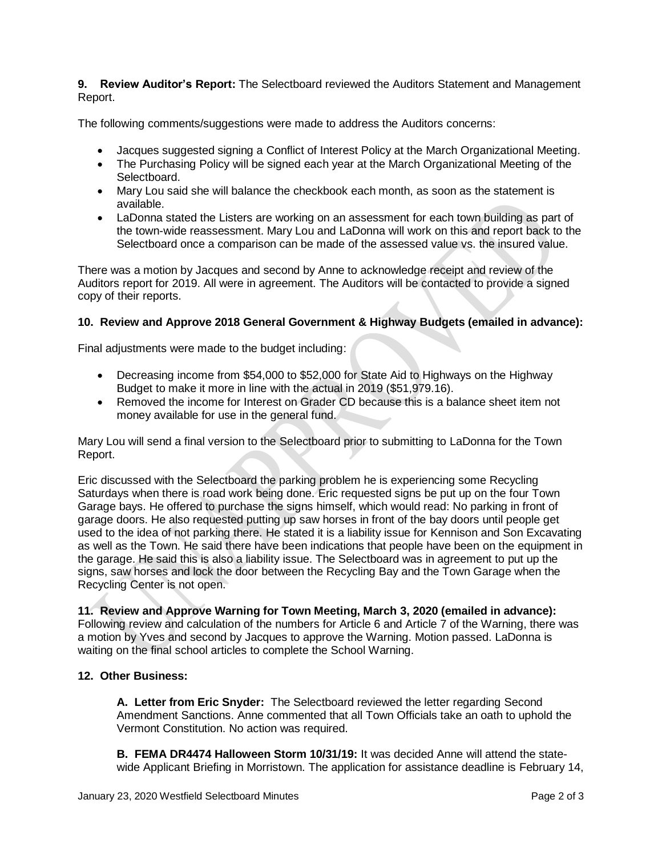**9. Review Auditor's Report:** The Selectboard reviewed the Auditors Statement and Management Report.

The following comments/suggestions were made to address the Auditors concerns:

- Jacques suggested signing a Conflict of Interest Policy at the March Organizational Meeting.
- The Purchasing Policy will be signed each year at the March Organizational Meeting of the Selectboard.
- Mary Lou said she will balance the checkbook each month, as soon as the statement is available.
- LaDonna stated the Listers are working on an assessment for each town building as part of the town-wide reassessment. Mary Lou and LaDonna will work on this and report back to the Selectboard once a comparison can be made of the assessed value vs. the insured value.

There was a motion by Jacques and second by Anne to acknowledge receipt and review of the Auditors report for 2019. All were in agreement. The Auditors will be contacted to provide a signed copy of their reports.

## **10. Review and Approve 2018 General Government & Highway Budgets (emailed in advance):**

Final adjustments were made to the budget including:

- Decreasing income from \$54,000 to \$52,000 for State Aid to Highways on the Highway Budget to make it more in line with the actual in 2019 (\$51,979.16).
- Removed the income for Interest on Grader CD because this is a balance sheet item not money available for use in the general fund.

Mary Lou will send a final version to the Selectboard prior to submitting to LaDonna for the Town Report.

Eric discussed with the Selectboard the parking problem he is experiencing some Recycling Saturdays when there is road work being done. Eric requested signs be put up on the four Town Garage bays. He offered to purchase the signs himself, which would read: No parking in front of garage doors. He also requested putting up saw horses in front of the bay doors until people get used to the idea of not parking there. He stated it is a liability issue for Kennison and Son Excavating as well as the Town. He said there have been indications that people have been on the equipment in the garage. He said this is also a liability issue. The Selectboard was in agreement to put up the signs, saw horses and lock the door between the Recycling Bay and the Town Garage when the Recycling Center is not open.

**11. Review and Approve Warning for Town Meeting, March 3, 2020 (emailed in advance):** Following review and calculation of the numbers for Article 6 and Article 7 of the Warning, there was a motion by Yves and second by Jacques to approve the Warning. Motion passed. LaDonna is waiting on the final school articles to complete the School Warning.

## **12. Other Business:**

**A. Letter from Eric Snyder:** The Selectboard reviewed the letter regarding Second Amendment Sanctions. Anne commented that all Town Officials take an oath to uphold the Vermont Constitution. No action was required.

**B. FEMA DR4474 Halloween Storm 10/31/19:** It was decided Anne will attend the statewide Applicant Briefing in Morristown. The application for assistance deadline is February 14,